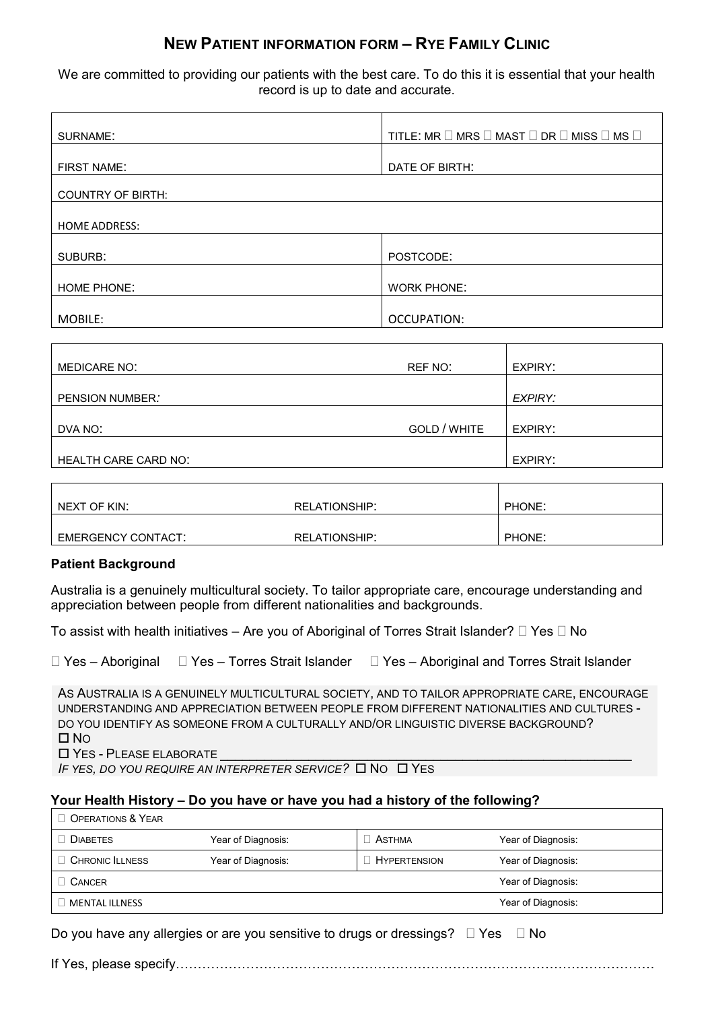## **NEW PATIENT INFORMATION FORM – RYE FAMILY CLINIC**

We are committed to providing our patients with the best care. To do this it is essential that your health record is up to date and accurate.

| SURNAME:                 | TITLE: MR $\Box$ MRS $\Box$ MAST $\Box$ DR $\Box$ MISS $\Box$ MS $\Box$ |  |
|--------------------------|-------------------------------------------------------------------------|--|
|                          |                                                                         |  |
| <b>FIRST NAME:</b>       | DATE OF BIRTH:                                                          |  |
|                          |                                                                         |  |
| <b>COUNTRY OF BIRTH:</b> |                                                                         |  |
|                          |                                                                         |  |
| <b>HOME ADDRESS:</b>     |                                                                         |  |
|                          |                                                                         |  |
| SUBURB:                  | POSTCODE:                                                               |  |
|                          |                                                                         |  |
| <b>HOME PHONE:</b>       | <b>WORK PHONE:</b>                                                      |  |
|                          |                                                                         |  |
| MOBILE:                  | OCCUPATION:                                                             |  |

| MEDICARE NO:                | REF NO:      | EXPIRY: |
|-----------------------------|--------------|---------|
|                             |              |         |
| PENSION NUMBER.             |              | EXPIRY: |
|                             |              |         |
| DVA NO:                     | GOLD / WHITE | EXPIRY: |
|                             |              |         |
| <b>HEALTH CARE CARD NO:</b> |              | EXPIRY: |

| NEXT OF KIN:       | <b>RELATIONSHIP:</b> | PHONE: |
|--------------------|----------------------|--------|
| EMERGENCY CONTACT: | <b>RELATIONSHIP:</b> | PHONE: |

#### **Patient Background**

Australia is a genuinely multicultural society. To tailor appropriate care, encourage understanding and appreciation between people from different nationalities and backgrounds.

To assist with health initiatives – Are you of Aboriginal of Torres Strait Islander?  $\Box$  Yes  $\Box$  No

|  | $\Box$ Yes – Aboriginal $\Box$ Yes – Torres Strait Islander $\Box$ Yes – Aboriginal and Torres Strait Islander |
|--|----------------------------------------------------------------------------------------------------------------|
|  |                                                                                                                |

AS AUSTRALIA IS A GENUINELY MULTICULTURAL SOCIETY, AND TO TAILOR APPROPRIATE CARE, ENCOURAGE UNDERSTANDING AND APPRECIATION BETWEEN PEOPLE FROM DIFFERENT NATIONALITIES AND CULTURES - DO YOU IDENTIFY AS SOMEONE FROM A CULTURALLY AND/OR LINGUISTIC DIVERSE BACKGROUND?  $\square$  No

 $\square$  YES - PLEASE ELABORATE

*IF YES, DO YOU REQUIRE AN INTERPRETER SERVICE?* □ NO □ YES

### **Your Health History – Do you have or have you had a history of the following?**

| OPERATIONS & YEAR     |                    |                     |                    |
|-----------------------|--------------------|---------------------|--------------------|
| <b>DIABETES</b>       | Year of Diagnosis: | ∃ Asthma            | Year of Diagnosis: |
| <b>CHRONIC LLNESS</b> | Year of Diagnosis: | <b>HYPERTENSION</b> | Year of Diagnosis: |
| CANCER                |                    | Year of Diagnosis:  |                    |
| <b>MENTAL ILLNESS</b> |                    |                     | Year of Diagnosis: |

Do you have any allergies or are you sensitive to drugs or dressings?  $\Box$  Yes  $\Box$  No

If Yes, please specify……………………………………………………………………………………………….